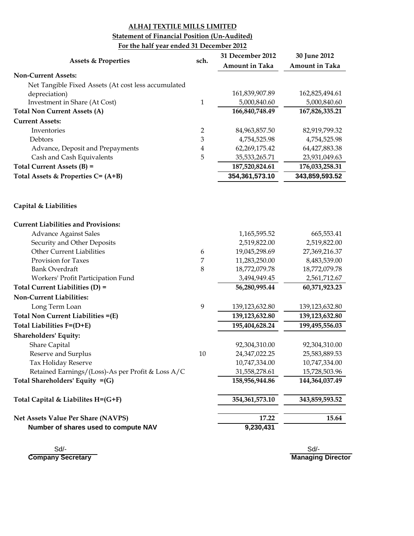### **Statement of Financial Position (Un-Audited)**

### **For the half year ended 31 December 2012**

| <b>Assets &amp; Properties</b>                      | sch.           | 31 December 2012      | 30 June 2012          |
|-----------------------------------------------------|----------------|-----------------------|-----------------------|
|                                                     |                | <b>Amount in Taka</b> | <b>Amount in Taka</b> |
| <b>Non-Current Assets:</b>                          |                |                       |                       |
| Net Tangible Fixed Assets (At cost less accumulated |                |                       |                       |
| depreciation)                                       |                | 161,839,907.89        | 162,825,494.61        |
| Investment in Share (At Cost)                       | $\mathbf{1}$   | 5,000,840.60          | 5,000,840.60          |
| <b>Total Non Current Assets (A)</b>                 |                | 166,840,748.49        | 167,826,335.21        |
| <b>Current Assets:</b>                              |                |                       |                       |
| Inventories                                         | $\overline{2}$ | 84,963,857.50         | 82,919,799.32         |
| Debtors                                             | 3              | 4,754,525.98          | 4,754,525.98          |
| Advance, Deposit and Prepayments                    | 4              | 62,269,175.42         | 64,427,883.38         |
| Cash and Cash Equivalents                           | 5              | 35,533,265.71         | 23,931,049.63         |
| Total Current Assets (B) =                          |                | 187,520,824.61        | 176,033,258.31        |
| Total Assets & Properties C= (A+B)                  |                | 354,361,573.10        | 343,859,593.52        |
| Capital & Liabilities                               |                |                       |                       |
| <b>Current Liabilities and Provisions:</b>          |                |                       |                       |
| <b>Advance Against Sales</b>                        |                | 1,165,595.52          | 665,553.41            |
| Security and Other Deposits                         |                | 2,519,822.00          | 2,519,822.00          |
| Other Current Liabilities                           | 6              | 19,045,298.69         | 27,369,216.37         |
| Provision for Taxes                                 | 7              | 11,283,250.00         | 8,483,539.00          |
| <b>Bank Overdraft</b>                               | 8              | 18,772,079.78         | 18,772,079.78         |
| Workers' Profit Participation Fund                  |                | 3,494,949.45          | 2,561,712.67          |
| Total Current Liabilities (D) =                     |                | 56,280,995.44         | 60,371,923.23         |
| Non-Current Liabilities:                            |                |                       |                       |
| Long Term Loan                                      | 9              | 139,123,632.80        | 139,123,632.80        |
| Total Non Current Liabilities =(E)                  |                | 139,123,632.80        | 139,123,632.80        |
| Total Liabilities F=(D+E)                           |                | 195,404,628.24        | 199,495,556.03        |
| <b>Shareholders' Equity:</b>                        |                |                       |                       |
| Share Capital                                       |                | 92,304,310.00         | 92,304,310.00         |
| Reserve and Surplus                                 | 10             | 24,347,022.25         | 25,583,889.53         |
| Tax Holiday Reserve                                 |                | 10,747,334.00         | 10,747,334.00         |
| Retained Earnings/(Loss)-As per Profit & Loss A/C   |                | 31,558,278.61         | 15,728,503.96         |
| Total Shareholders' Equity $=(G)$                   |                | 158,956,944.86        | 144,364,037.49        |
| Total Capital & Liabilites H=(G+F)                  |                | 354, 361, 573. 10     | 343,859,593.52        |
| Net Assets Value Per Share (NAVPS)                  |                | 17.22                 | 15.64                 |
| Number of shares used to compute NAV                |                | 9,230,431             |                       |

 Sd/- Sd/- **Company Secretary**

**Managing Director**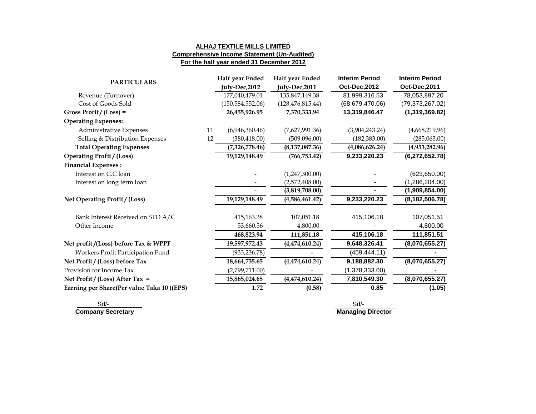#### **ALHAJ TEXTILE MILLS LIMITED Comprehensive Income Statement (Un-Audited) For the half year ended 31 December 2012**

| <b>PARTICULARS</b>                        |    | Half year Ended    | Half year Ended    | <b>Interim Period</b> | <b>Interim Period</b> |
|-------------------------------------------|----|--------------------|--------------------|-----------------------|-----------------------|
|                                           |    | July-Dec, 2012     | July-Dec,2011      | Oct-Dec, 2012         | Oct-Dec, 2011         |
| Revenue (Turnover)                        |    | 177,040,479.01     | 135,847,149.38     | 81,999,316.53         | 78,053,897.20         |
| Cost of Goods Sold                        |    | (150, 584, 552.06) | (128, 476, 815.44) | (68, 679, 470.06)     | (79, 373, 267.02)     |
| Gross Profit / $(Loss) =$                 |    | 26,455,926.95      | 7,370,333.94       | 13,319,846.47         | (1,319,369.82)        |
| <b>Operating Expenses:</b>                |    |                    |                    |                       |                       |
| Administrative Expenses                   | 11 | (6,946,360.46)     | (7,627,991.36)     | (3,904,243.24)        | (4,668,219.96)        |
| Selling & Distribution Expenses           | 12 | (380, 418.00)      | (509,096.00)       | (182, 383.00)         | (285,063.00)          |
| <b>Total Operating Expenses</b>           |    | (7,326,778.46)     | (8, 137, 087.36)   | (4,086,626.24)        | (4,953,282.96)        |
| <b>Operating Profit / (Loss)</b>          |    | 19,129,148.49      | (766, 753.42)      | 9,233,220.23          | (6, 272, 652.78)      |
| <b>Financial Expenses:</b>                |    |                    |                    |                       |                       |
| Interest on C.C loan                      |    |                    | (1,247,300.00)     |                       | (623, 650.00)         |
| Interest on long term loan                |    |                    | (2,572,408.00)     |                       | (1,286,204.00)        |
|                                           |    |                    | (3,819,708.00)     |                       | (1,909,854.00)        |
| Net Operating Profit / (Loss)             |    | 19,129,148.49      | (4,586,461.42)     | 9,233,220.23          | (8, 182, 506.78)      |
| Bank Interest Received on STD A/C         |    | 415,163.38         | 107,051.18         | 415,106.18            | 107,051.51            |
| Other Income                              |    | 53,660.56          | 4,800.00           |                       | 4,800.00              |
|                                           |    | 468,823.94         | 111,851.18         | 415,106.18            | 111,851.51            |
| Net profit/(Loss) before Tax & WPPF       |    | 19,597,972.43      | (4,474,610.24)     | 9,648,326.41          | (8,070,655.27)        |
| Workers Profit Participation Fund         |    | (933, 236.78)      |                    | (459, 444.11)         |                       |
| Net Profit / (Loss) before Tax            |    | 18,664,735.65      | (4,474,610.24)     | 9,188,882.30          | (8,070,655.27)        |
| Provision for Income Tax                  |    | (2,799,711.00)     |                    | (1,378,333.00)        |                       |
| Net Profit / (Loss) After Tax =           |    | 15,865,024.65      | (4,474,610.24)     | 7,810,549.30          | (8,070,655.27)        |
| Earning per Share(Per value Taka 10)(EPS) |    | 1.72               | (0.58)             | 0.85                  | (1.05)                |

 Sd/- Sd/- **Company Secretary Company Secretary**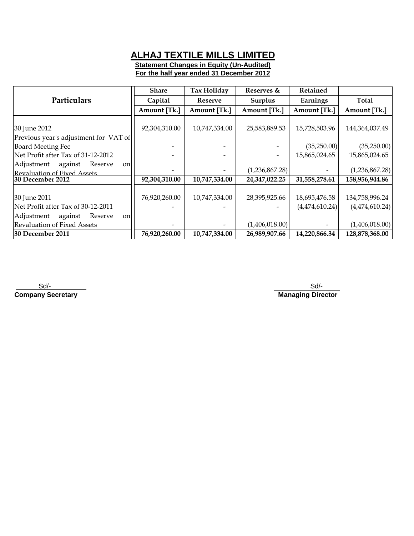**Statement Changes in Equity (Un-Audited) For the half year ended 31 December 2012**

|                                         | <b>Share</b>  | Tax Holiday    | Reserves &     | Retained       |                |
|-----------------------------------------|---------------|----------------|----------------|----------------|----------------|
| Particulars                             | Capital       | <b>Reserve</b> | Surplus        | Earnings       | Total          |
|                                         | Amount [Tk.]  | Amount [Tk.]   | Amount [Tk.]   | Amount [Tk.]   | Amount [Tk.]   |
|                                         |               |                |                |                |                |
| 30 June 2012                            | 92,304,310.00 | 10,747,334.00  | 25,583,889.53  | 15,728,503.96  | 144,364,037.49 |
| Previous year's adjustment for VAT of   |               |                |                |                |                |
| <b>Board Meeting Fee</b>                |               |                |                | (35,250.00)    | (35,250.00)    |
| Net Profit after Tax of 31-12-2012      |               |                |                | 15,865,024.65  | 15,865,024.65  |
| Adjustment against<br>Reserve<br>onl    |               |                |                |                |                |
| Revaluation of Fixed Assets             |               |                | (1,236,867.28) |                | (1,236,867.28) |
| 30 December 2012                        | 92,304,310.00 | 10,747,334.00  | 24,347,022.25  | 31,558,278.61  | 158,956,944.86 |
|                                         |               |                |                |                |                |
| 30 June 2011                            | 76,920,260.00 | 10,747,334.00  | 28,395,925.66  | 18,695,476.58  | 134,758,996.24 |
| Net Profit after Tax of 30-12-2011      |               |                |                | (4,474,610.24) | (4,474,610.24) |
| Adjustment<br>Reserve<br>against<br>onl |               |                |                |                |                |
| Revaluation of Fixed Assets             |               |                | (1,406,018.00) |                | (1,406,018.00) |
| 30 December 2011                        | 76,920,260.00 | 10,747,334.00  | 26,989,907.66  | 14,220,866.34  | 128,878,368.00 |

 Sd/- **Company Secretary** **Managing Director** Sd/-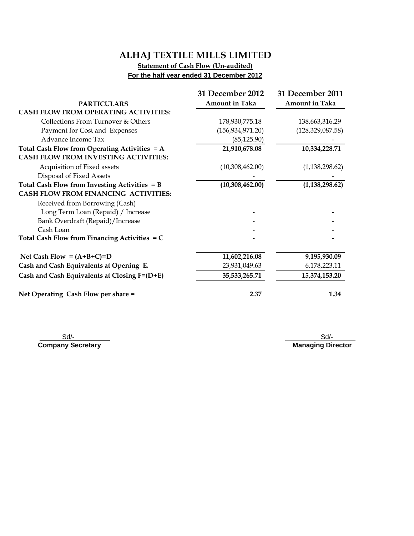### **Statement of Cash Flow (Un-audited) For the half year ended 31 December 2012**

|                                                 | 31 December 2012      | 31 December 2011      |
|-------------------------------------------------|-----------------------|-----------------------|
| <b>PARTICULARS</b>                              | <b>Amount in Taka</b> | <b>Amount in Taka</b> |
| <b>CASH FLOW FROM OPERATING ACTIVITIES:</b>     |                       |                       |
| Collections From Turnover & Others              | 178,930,775.18        | 138,663,316.29        |
| Payment for Cost and Expenses                   | (156, 934, 971.20)    | (128, 329, 087.58)    |
| Advance Income Tax                              | (85, 125.90)          |                       |
| Total Cash Flow from Operating Activities $= A$ | 21,910,678.08         | 10,334,228.71         |
| <b>CASH FLOW FROM INVESTING ACTIVITIES:</b>     |                       |                       |
| Acquisition of Fixed assets                     | (10,308,462.00)       | (1, 138, 298.62)      |
| Disposal of Fixed Assets                        |                       |                       |
| Total Cash Flow from Investing Activities = B   | (10,308,462.00)       | (1, 138, 298.62)      |
| <b>CASH FLOW FROM FINANCING ACTIVITIES:</b>     |                       |                       |
| Received from Borrowing (Cash)                  |                       |                       |
| Long Term Loan (Repaid) / Increase              |                       |                       |
| Bank Overdraft (Repaid)/Increase                |                       |                       |
| Cash Loan                                       |                       |                       |
| Total Cash Flow from Financing Activities = C   |                       |                       |
| Net Cash Flow = $(A+B+C)=D$                     | 11,602,216.08         | 9,195,930.09          |
| Cash and Cash Equivalents at Opening E.         | 23,931,049.63         | 6,178,223.11          |
| Cash and Cash Equivalents at Closing F=(D+E)    | 35,533,265.71         | 15,374,153.20         |
| Net Operating Cash Flow per share =             | 2.37                  | 1.34                  |

 Sd/- **Company Secretary**

 Sd/- **Managing Director**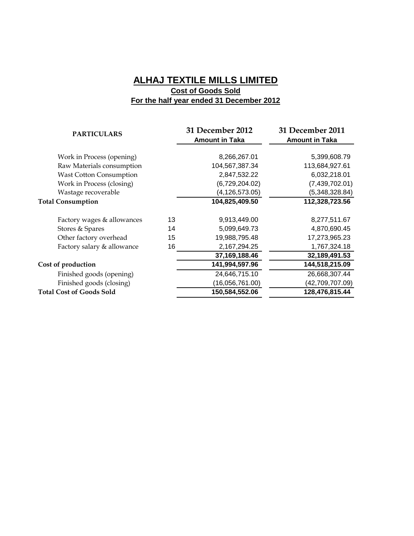### **ALHAJ TEXTILE MILLS LIMITED Cost of Goods Sold For the half year ended 31 December 2012**

| <b>PARTICULARS</b>              |    | 31 December 2012<br><b>Amount in Taka</b> | 31 December 2011<br><b>Amount in Taka</b> |
|---------------------------------|----|-------------------------------------------|-------------------------------------------|
|                                 |    |                                           |                                           |
| Work in Process (opening)       |    | 8,266,267.01                              | 5,399,608.79                              |
| Raw Materials consumption       |    | 104,567,387.34                            | 113,684,927.61                            |
| <b>Wast Cotton Consumption</b>  |    | 2,847,532.22                              | 6,032,218.01                              |
| Work in Process (closing)       |    | (6,729,204.02)                            | (7,439,702.01)                            |
| Wastage recoverable             |    | (4, 126, 573.05)                          | (5,348,328.84)                            |
| <b>Total Consumption</b>        |    | 104,825,409.50                            | 112,328,723.56                            |
| Factory wages & allowances      | 13 | 9,913,449.00                              | 8,277,511.67                              |
| Stores & Spares                 | 14 | 5,099,649.73                              | 4,870,690.45                              |
| Other factory overhead          | 15 | 19,988,795.48                             | 17,273,965.23                             |
| Factory salary & allowance      | 16 | 2,167,294.25                              | 1,767,324.18                              |
|                                 |    | 37,169,188.46                             | 32,189,491.53                             |
| Cost of production              |    | 141,994,597.96                            | 144,518,215.09                            |
| Finished goods (opening)        |    | 24,646,715.10                             | 26,668,307.44                             |
| Finished goods (closing)        |    | (16,056,761.00)                           | (42,709,707.09)                           |
| <b>Total Cost of Goods Sold</b> |    | 150,584,552.06                            | 128,476,815.44                            |
|                                 |    |                                           |                                           |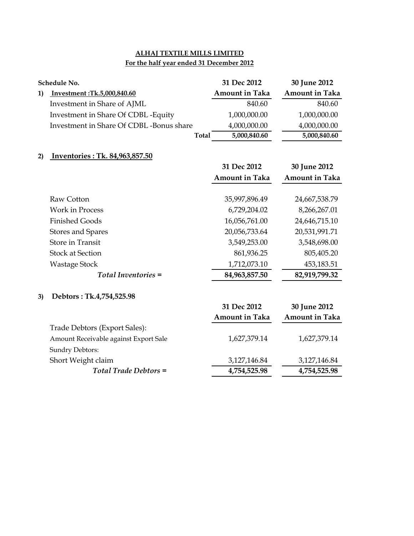## **For the half year ended 31 December 2012**

|    | Schedule No.                            | 31 Dec 2012           | 30 June 2012          |
|----|-----------------------------------------|-----------------------|-----------------------|
| 1) | Investment:Tk.5,000,840.60              | <b>Amount in Taka</b> | <b>Amount in Taka</b> |
|    | Investment in Share of AJML             | 840.60                | 840.60                |
|    | Investment in Share Of CDBL - Equity    | 1,000,000.00          | 1,000,000.00          |
|    | Investment in Share Of CDBL-Bonus share | 4,000,000.00          | 4,000,000.00          |
|    | <b>Total</b>                            | 5,000,840.60          | 5,000,840.60          |
|    |                                         |                       |                       |
| 2) | Inventories : Tk. 84,963,857.50         |                       |                       |
|    |                                         | 31 Dec 2012           | 30 June 2012          |
|    |                                         | <b>Amount in Taka</b> | <b>Amount in Taka</b> |
|    | Raw Cotton                              | 35,997,896.49         | 24,667,538.79         |
|    | <b>Work in Process</b>                  | 6,729,204.02          | 8,266,267.01          |
|    | <b>Finished Goods</b>                   | 16,056,761.00         | 24,646,715.10         |
|    | <b>Stores and Spares</b>                | 20,056,733.64         | 20,531,991.71         |
|    | <b>Store in Transit</b>                 | 3,549,253.00          | 3,548,698.00          |
|    | <b>Stock at Section</b>                 | 861,936.25            | 805,405.20            |
|    | <b>Wastage Stock</b>                    | 1,712,073.10          | 453,183.51            |
|    | <b>Total Inventories =</b>              | 84,963,857.50         | 82,919,799.32         |
|    |                                         |                       |                       |
| 3) | Debtors: Tk.4,754,525.98                |                       |                       |
|    |                                         | 31 Dec 2012           | 30 June 2012          |
|    |                                         | <b>Amount in Taka</b> | <b>Amount in Taka</b> |
|    | Trade Debtors (Export Sales):           |                       |                       |
|    | Amount Receivable against Export Sale   | 1,627,379.14          | 1,627,379.14          |
|    | Sundry Debtors:                         |                       |                       |
|    | Short Weight claim                      | 3,127,146.84          | 3,127,146.84          |
|    | <b>Total Trade Debtors =</b>            | 4,754,525.98          | 4,754,525.98          |
|    |                                         |                       |                       |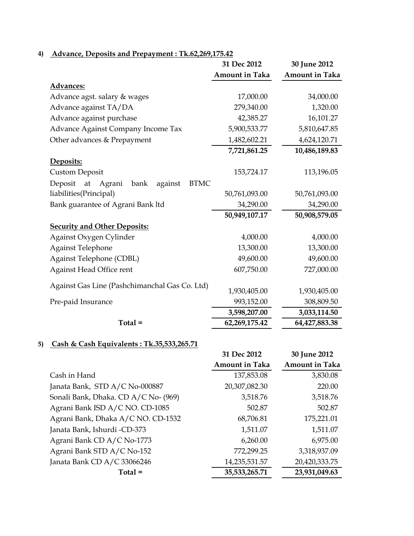|                                                           | 31 Dec 2012           | 30 June 2012          |
|-----------------------------------------------------------|-----------------------|-----------------------|
|                                                           | <b>Amount in Taka</b> | <b>Amount in Taka</b> |
| <b>Advances:</b>                                          |                       |                       |
| Advance agst. salary & wages                              | 17,000.00             | 34,000.00             |
| Advance against TA/DA                                     | 279,340.00            | 1,320.00              |
| Advance against purchase                                  | 42,385.27             | 16,101.27             |
| Advance Against Company Income Tax                        | 5,900,533.77          | 5,810,647.85          |
| Other advances & Prepayment                               | 1,482,602.21          | 4,624,120.71          |
|                                                           | 7,721,861.25          | 10,486,189.83         |
| Deposits:                                                 |                       |                       |
| <b>Custom Deposit</b>                                     | 153,724.17            | 113,196.05            |
| <b>BTMC</b><br>Deposit<br>bank<br>against<br>at<br>Agrani |                       |                       |
| liabilities(Principal)                                    | 50,761,093.00         | 50,761,093.00         |
| Bank guarantee of Agrani Bank ltd                         | 34,290.00             | 34,290.00             |
|                                                           | 50,949,107.17         | 50,908,579.05         |
| <b>Security and Other Deposits:</b>                       |                       |                       |
| Against Oxygen Cylinder                                   | 4,000.00              | 4,000.00              |
| <b>Against Telephone</b>                                  | 13,300.00             | 13,300.00             |
| Against Telephone (CDBL)                                  | 49,600.00             | 49,600.00             |
| Against Head Office rent                                  | 607,750.00            | 727,000.00            |
|                                                           |                       |                       |
| Against Gas Line (Pashchimanchal Gas Co. Ltd)             | 1,930,405.00          | 1,930,405.00          |
| Pre-paid Insurance                                        | 993,152.00            | 308,809.50            |
|                                                           | 3,598,207.00          | 3,033,114.50          |
| $Total =$                                                 | 62,269,175.42         | 64,427,883.38         |

# **4) Advance, Deposits and Prepayment : Tk.62,269,175.42**

## **5) Cash & Cash Equivalents : Tk.35,533,265.71**

| Casil & Casil Equivalents . 1 K.33,333,203.71 |                       |                       |
|-----------------------------------------------|-----------------------|-----------------------|
|                                               | 31 Dec 2012           | 30 June 2012          |
|                                               | <b>Amount in Taka</b> | <b>Amount in Taka</b> |
| Cash in Hand                                  | 137,853.08            | 3,830.08              |
| Janata Bank, STD A/C No-000887                | 20,307,082.30         | 220.00                |
| Sonali Bank, Dhaka. CD A/C No- (969)          | 3,518.76              | 3,518.76              |
| Agrani Bank ISD A/C NO. CD-1085               | 502.87                | 502.87                |
| Agrani Bank, Dhaka A/C NO. CD-1532            | 68,706.81             | 175,221.01            |
| Janata Bank, Ishurdi -CD-373                  | 1,511.07              | 1,511.07              |
| Agrani Bank CD A/C No-1773                    | 6,260.00              | 6,975.00              |
| Agrani Bank STD A/C No-152                    | 772,299.25            | 3,318,937.09          |
| Janata Bank CD A/C 33066246                   | 14,235,531.57         | 20,420,333.75         |
| $Total =$                                     | 35,533,265.71         | 23,931,049.63         |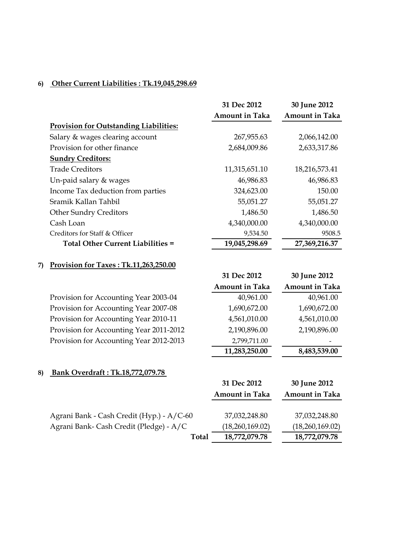## **6) Other Current Liabilities : Tk.19,045,298.69**

|                                               | 31 Dec 2012           | 30 June 2012          |
|-----------------------------------------------|-----------------------|-----------------------|
|                                               | <b>Amount in Taka</b> | <b>Amount in Taka</b> |
| <b>Provision for Outstanding Liabilities:</b> |                       |                       |
| Salary & wages clearing account               | 267,955.63            | 2,066,142.00          |
| Provision for other finance                   | 2,684,009.86          | 2,633,317.86          |
| <b>Sundry Creditors:</b>                      |                       |                       |
| <b>Trade Creditors</b>                        | 11,315,651.10         | 18,216,573.41         |
| Un-paid salary $&$ wages                      | 46,986.83             | 46,986.83             |
| Income Tax deduction from parties             | 324,623.00            | 150.00                |
| Sramik Kallan Tahbil                          | 55,051.27             | 55,051.27             |
| <b>Other Sundry Creditors</b>                 | 1,486.50              | 1,486.50              |
| Cash Loan                                     | 4,340,000.00          | 4,340,000.00          |
| Creditors for Staff & Officer                 | 9,534.50              | 9508.5                |
| Total Other Current Liabilities =             | 19,045,298.69         | 27,369,216.37         |

### **7) Provision for Taxes : Tk.11,263,250.00**

|                                         | <b>Amount in Taka</b> | <b>Amount in Taka</b> |
|-----------------------------------------|-----------------------|-----------------------|
| Provision for Accounting Year 2003-04   | 40,961.00             | 40,961.00             |
| Provision for Accounting Year 2007-08   | 1,690,672.00          | 1,690,672.00          |
| Provision for Accounting Year 2010-11   | 4,561,010.00          | 4,561,010.00          |
| Provision for Accounting Year 2011-2012 | 2,190,896.00          | 2,190,896.00          |
| Provision for Accounting Year 2012-2013 | 2,799,711.00          |                       |
|                                         | 11,283,250.00         | 8,483,539.00          |

**31 Dec 2012 30 June 2012**

### **8) Bank Overdraft : Tk.18,772,079.78**

|                                           | 31 Dec 2012           | 30 June 2012          |
|-------------------------------------------|-----------------------|-----------------------|
|                                           | <b>Amount in Taka</b> | <b>Amount in Taka</b> |
|                                           |                       |                       |
| Agrani Bank - Cash Credit (Hyp.) - A/C-60 | 37,032,248.80         | 37,032,248.80         |
| Agrani Bank- Cash Credit (Pledge) - A/C   | (18,260,169.02)       | (18,260,169.02)       |
| <b>Total</b>                              | 18,772,079.78         | 18,772,079.78         |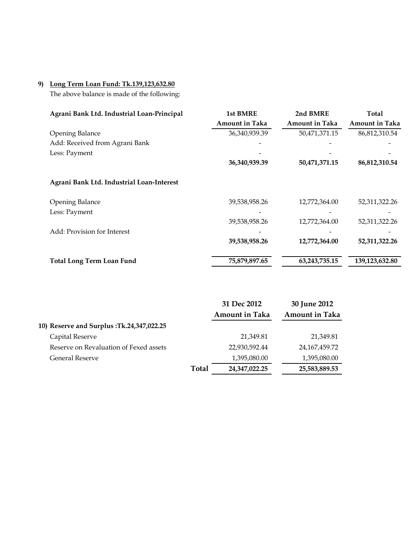### **9) Long Term Loan Fund: Tk.139,123,632.80**

The above balance is made of the following:

| Agrani Bank Ltd. Industrial Loan-Principal | <b>1st BMRE</b>       | 2nd BMRE              | Total                 |
|--------------------------------------------|-----------------------|-----------------------|-----------------------|
|                                            | <b>Amount in Taka</b> | <b>Amount in Taka</b> | <b>Amount in Taka</b> |
| <b>Opening Balance</b>                     | 36,340,939.39         | 50,471,371.15         | 86,812,310.54         |
| Add: Received from Agrani Bank             |                       |                       |                       |
| Less: Payment                              |                       |                       |                       |
|                                            | 36,340,939.39         | 50,471,371.15         | 86,812,310.54         |
| Agrani Bank Ltd. Industrial Loan-Interest  |                       |                       |                       |
| <b>Opening Balance</b>                     | 39,538,958.26         | 12,772,364.00         | 52,311,322.26         |
| Less: Payment                              |                       |                       |                       |
|                                            | 39,538,958.26         | 12,772,364.00         | 52,311,322.26         |
| Add: Provision for Interest                |                       |                       |                       |
|                                            | 39,538,958.26         | 12,772,364.00         | 52,311,322.26         |
| <b>Total Long Term Loan Fund</b>           | 75,879,897.65         | 63,243,735.15         | 139,123,632.80        |

|                                           |              | 31 Dec 2012           | 30 June 2012          |
|-------------------------------------------|--------------|-----------------------|-----------------------|
|                                           |              | <b>Amount in Taka</b> | <b>Amount in Taka</b> |
| 10) Reserve and Surplus :Tk.24,347,022.25 |              |                       |                       |
| Capital Reserve                           |              | 21,349.81             | 21,349.81             |
| Reserve on Revaluation of Fexed assets    |              | 22,930,592.44         | 24, 167, 459. 72      |
| General Reserve                           |              | 1,395,080.00          | 1,395,080.00          |
|                                           | <b>Total</b> | 24, 347, 022. 25      | 25,583,889.53         |
|                                           |              |                       |                       |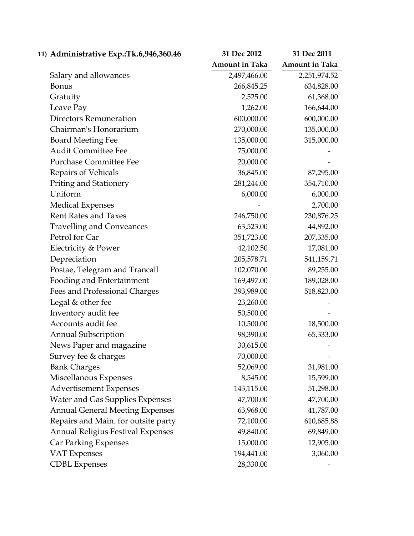| 11) Administrative Exp.: Tk.6,946,360.46 | 31 Dec 2012           | 31 Dec 2011           |
|------------------------------------------|-----------------------|-----------------------|
|                                          | <b>Amount in Taka</b> | <b>Amount in Taka</b> |
| Salary and allowances                    | 2,497,466.00          | 2,251,974.52          |
| <b>Bonus</b>                             | 266,845.25            | 634,828.00            |
| Gratuity                                 | 2,525.00              | 61,368.00             |
| Leave Pay                                | 1,262.00              | 166,644.00            |
| <b>Directors Remuneration</b>            | 600,000.00            | 600,000.00            |
| Chairman's Honorarium                    | 270,000.00            | 135,000.00            |
| <b>Board Meeting Fee</b>                 | 135,000.00            | 315,000.00            |
| <b>Audit Committee Fee</b>               | 75,000.00             |                       |
| <b>Purchase Committee Fee</b>            | 20,000.00             |                       |
| Repairs of Vehicals                      | 36,845.00             | 87,295.00             |
| <b>Priting and Stationery</b>            | 281,244.00            | 354,710.00            |
| Uniform                                  | 6,000.00              | 6,000.00              |
| <b>Medical Expenses</b>                  |                       | 2,700.00              |
| <b>Rent Rates and Taxes</b>              | 246,750.00            | 230,876.25            |
| <b>Travelling and Conveances</b>         | 63,523.00             | 44,892.00             |
| Petrol for Car                           | 351,723.00            | 207,335.00            |
| Electricity & Power                      | 42,102.50             | 17,081.00             |
| Depreciation                             | 205,578.71            | 541,159.71            |
| Postae, Telegram and Trancall            | 102,070.00            | 89,255.00             |
| Fooding and Entertainment                | 169,497.00            | 189,028.00            |
| Fees and Professional Charges            | 393,989.00            | 518,823.00            |
| Legal & other fee                        | 23,260.00             |                       |
| Inventory audit fee                      | 50,500.00             |                       |
| Accounts audit fee                       | 10,500.00             | 18,500.00             |
| <b>Annual Subscription</b>               | 98,390.00             | 65,333.00             |
| News Paper and magazine                  | 30,615.00             |                       |
| Survey fee & charges                     | 70,000.00             |                       |
| <b>Bank Charges</b>                      | 52,069.00             | 31,981.00             |
| Miscellanous Expenses                    | 8,545.00              | 15,599.00             |
| <b>Advertisement Expenses</b>            | 143,115.00            | 51,298.00             |
| <b>Water and Gas Supplies Expenses</b>   | 47,700.00             | 47,700.00             |
| <b>Annual General Meeting Expenses</b>   | 63,968.00             | 41,787.00             |
| Repairs and Main. for outsite party      | 72,100.00             | 610,685.88            |
| <b>Annual Religius Festival Expenses</b> | 49,840.00             | 69,849.00             |
| <b>Car Parking Expenses</b>              | 15,000.00             | 12,905.00             |
| <b>VAT Expenses</b>                      | 194,441.00            | 3,060.00              |
| <b>CDBL</b> Expenses                     | 28,330.00             |                       |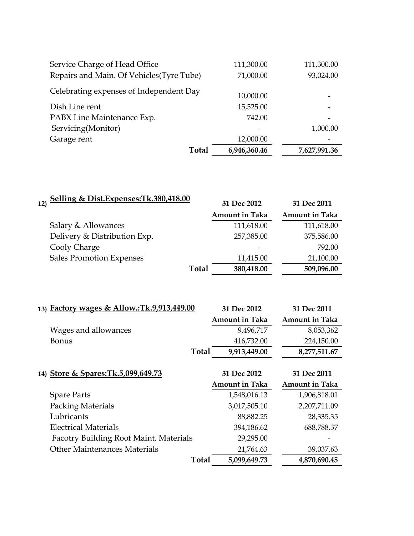| Service Charge of Head Office             | 111,300.00   | 111,300.00   |
|-------------------------------------------|--------------|--------------|
| Repairs and Main. Of Vehicles (Tyre Tube) | 71,000.00    | 93,024.00    |
| Celebrating expenses of Independent Day   | 10,000.00    |              |
| Dish Line rent                            | 15,525.00    |              |
| PABX Line Maintenance Exp.                | 742.00       |              |
| Servicing(Monitor)                        |              | 1,000.00     |
| Garage rent                               | 12,000.00    |              |
| Total                                     | 6,946,360.46 | 7,627,991.36 |

| Selling & Dist.Expenses: Tk.380,418.00<br>12) | 31 Dec 2012           |                       |
|-----------------------------------------------|-----------------------|-----------------------|
|                                               |                       | 31 Dec 2011           |
|                                               | <b>Amount in Taka</b> | <b>Amount in Taka</b> |
| Salary & Allowances                           | 111,618.00            | 111,618.00            |
| Delivery & Distribution Exp.                  | 257,385.00            | 375,586.00            |
| Cooly Charge                                  |                       | 792.00                |
| <b>Sales Promotion Expenses</b>               | 11,415.00             | 21,100.00             |
| <b>Total</b>                                  | 380,418.00            | 509,096.00            |
|                                               |                       |                       |
|                                               |                       |                       |
| 13) Factory wages & Allow.:Tk.9,913,449.00    | 31 Dec 2012           | 31 Dec 2011           |
|                                               | <b>Amount in Taka</b> | <b>Amount in Taka</b> |
| Wages and allowances                          | 9,496,717             | 8,053,362             |
| <b>Bonus</b>                                  | 416,732.00            | 224,150.00            |
| <b>Total</b>                                  | 9,913,449.00          | 8,277,511.67          |
|                                               |                       |                       |
| 14) Store & Spares: Tk.5,099,649.73           | 31 Dec 2012           | 31 Dec 2011           |
|                                               | <b>Amount in Taka</b> | <b>Amount in Taka</b> |
| <b>Spare Parts</b>                            | 1,548,016.13          | 1,906,818.01          |
| <b>Packing Materials</b>                      | 3,017,505.10          | 2,207,711.09          |
| Lubricants                                    | 88,882.25             | 28,335.35             |
| <b>Electrical Materials</b>                   | 394,186.62            | 688,788.37            |
| <b>Facotry Building Roof Maint. Materials</b> | 29,295.00             |                       |
| <b>Other Maintenances Materials</b>           | 21,764.63             | 39,037.63             |
| <b>Total</b>                                  | 5,099,649.73          | 4,870,690.45          |